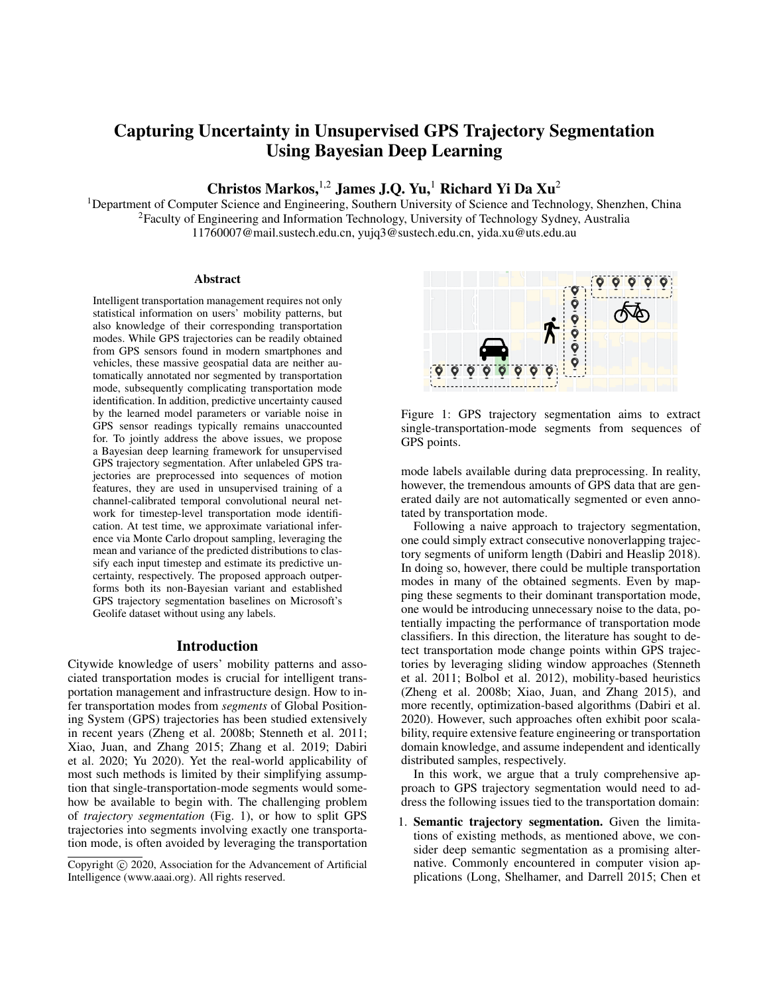# Capturing Uncertainty in Unsupervised GPS Trajectory Segmentation Using Bayesian Deep Learning

## Christos Markos,<sup>1,2</sup> James J.Q. Yu,<sup>1</sup> Richard Yi Da Xu<sup>2</sup>

<sup>1</sup>Department of Computer Science and Engineering, Southern University of Science and Technology, Shenzhen, China <sup>2</sup>Faculty of Engineering and Information Technology, University of Technology Sydney, Australia 11760007@mail.sustech.edu.cn, yujq3@sustech.edu.cn, yida.xu@uts.edu.au

#### Abstract

Intelligent transportation management requires not only statistical information on users' mobility patterns, but also knowledge of their corresponding transportation modes. While GPS trajectories can be readily obtained from GPS sensors found in modern smartphones and vehicles, these massive geospatial data are neither automatically annotated nor segmented by transportation mode, subsequently complicating transportation mode identification. In addition, predictive uncertainty caused by the learned model parameters or variable noise in GPS sensor readings typically remains unaccounted for. To jointly address the above issues, we propose a Bayesian deep learning framework for unsupervised GPS trajectory segmentation. After unlabeled GPS trajectories are preprocessed into sequences of motion features, they are used in unsupervised training of a channel-calibrated temporal convolutional neural network for timestep-level transportation mode identification. At test time, we approximate variational inference via Monte Carlo dropout sampling, leveraging the mean and variance of the predicted distributions to classify each input timestep and estimate its predictive uncertainty, respectively. The proposed approach outperforms both its non-Bayesian variant and established GPS trajectory segmentation baselines on Microsoft's Geolife dataset without using any labels.

#### Introduction

Citywide knowledge of users' mobility patterns and associated transportation modes is crucial for intelligent transportation management and infrastructure design. How to infer transportation modes from *segments* of Global Positioning System (GPS) trajectories has been studied extensively in recent years (Zheng et al. 2008b; Stenneth et al. 2011; Xiao, Juan, and Zhang 2015; Zhang et al. 2019; Dabiri et al. 2020; Yu 2020). Yet the real-world applicability of most such methods is limited by their simplifying assumption that single-transportation-mode segments would somehow be available to begin with. The challenging problem of *trajectory segmentation* (Fig. 1), or how to split GPS trajectories into segments involving exactly one transportation mode, is often avoided by leveraging the transportation





Figure 1: GPS trajectory segmentation aims to extract single-transportation-mode segments from sequences of GPS points.

mode labels available during data preprocessing. In reality, however, the tremendous amounts of GPS data that are generated daily are not automatically segmented or even annotated by transportation mode.

Following a naive approach to trajectory segmentation, one could simply extract consecutive nonoverlapping trajectory segments of uniform length (Dabiri and Heaslip 2018). In doing so, however, there could be multiple transportation modes in many of the obtained segments. Even by mapping these segments to their dominant transportation mode, one would be introducing unnecessary noise to the data, potentially impacting the performance of transportation mode classifiers. In this direction, the literature has sought to detect transportation mode change points within GPS trajectories by leveraging sliding window approaches (Stenneth et al. 2011; Bolbol et al. 2012), mobility-based heuristics (Zheng et al. 2008b; Xiao, Juan, and Zhang 2015), and more recently, optimization-based algorithms (Dabiri et al. 2020). However, such approaches often exhibit poor scalability, require extensive feature engineering or transportation domain knowledge, and assume independent and identically distributed samples, respectively.

In this work, we argue that a truly comprehensive approach to GPS trajectory segmentation would need to address the following issues tied to the transportation domain:

1. Semantic trajectory segmentation. Given the limitations of existing methods, as mentioned above, we consider deep semantic segmentation as a promising alternative. Commonly encountered in computer vision applications (Long, Shelhamer, and Darrell 2015; Chen et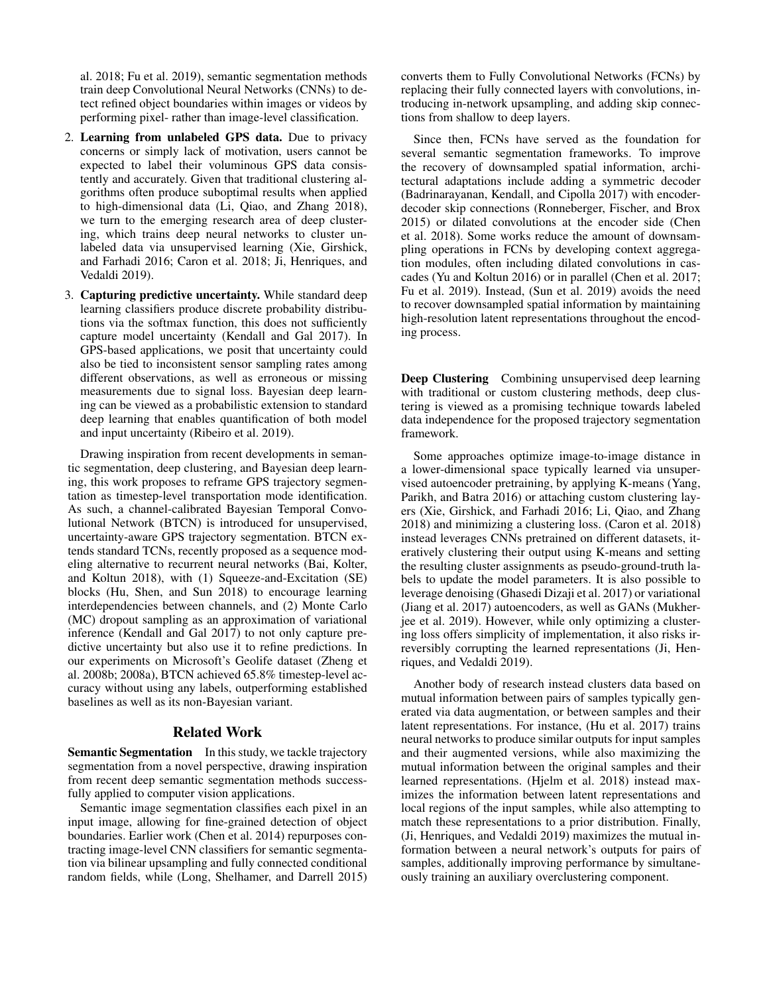al. 2018; Fu et al. 2019), semantic segmentation methods train deep Convolutional Neural Networks (CNNs) to detect refined object boundaries within images or videos by performing pixel- rather than image-level classification.

- 2. Learning from unlabeled GPS data. Due to privacy concerns or simply lack of motivation, users cannot be expected to label their voluminous GPS data consistently and accurately. Given that traditional clustering algorithms often produce suboptimal results when applied to high-dimensional data (Li, Qiao, and Zhang 2018), we turn to the emerging research area of deep clustering, which trains deep neural networks to cluster unlabeled data via unsupervised learning (Xie, Girshick, and Farhadi 2016; Caron et al. 2018; Ji, Henriques, and Vedaldi 2019).
- 3. Capturing predictive uncertainty. While standard deep learning classifiers produce discrete probability distributions via the softmax function, this does not sufficiently capture model uncertainty (Kendall and Gal 2017). In GPS-based applications, we posit that uncertainty could also be tied to inconsistent sensor sampling rates among different observations, as well as erroneous or missing measurements due to signal loss. Bayesian deep learning can be viewed as a probabilistic extension to standard deep learning that enables quantification of both model and input uncertainty (Ribeiro et al. 2019).

Drawing inspiration from recent developments in semantic segmentation, deep clustering, and Bayesian deep learning, this work proposes to reframe GPS trajectory segmentation as timestep-level transportation mode identification. As such, a channel-calibrated Bayesian Temporal Convolutional Network (BTCN) is introduced for unsupervised, uncertainty-aware GPS trajectory segmentation. BTCN extends standard TCNs, recently proposed as a sequence modeling alternative to recurrent neural networks (Bai, Kolter, and Koltun 2018), with (1) Squeeze-and-Excitation (SE) blocks (Hu, Shen, and Sun 2018) to encourage learning interdependencies between channels, and (2) Monte Carlo (MC) dropout sampling as an approximation of variational inference (Kendall and Gal 2017) to not only capture predictive uncertainty but also use it to refine predictions. In our experiments on Microsoft's Geolife dataset (Zheng et al. 2008b; 2008a), BTCN achieved 65.8% timestep-level accuracy without using any labels, outperforming established baselines as well as its non-Bayesian variant.

#### Related Work

Semantic Segmentation In this study, we tackle trajectory segmentation from a novel perspective, drawing inspiration from recent deep semantic segmentation methods successfully applied to computer vision applications.

Semantic image segmentation classifies each pixel in an input image, allowing for fine-grained detection of object boundaries. Earlier work (Chen et al. 2014) repurposes contracting image-level CNN classifiers for semantic segmentation via bilinear upsampling and fully connected conditional random fields, while (Long, Shelhamer, and Darrell 2015)

converts them to Fully Convolutional Networks (FCNs) by replacing their fully connected layers with convolutions, introducing in-network upsampling, and adding skip connections from shallow to deep layers.

Since then, FCNs have served as the foundation for several semantic segmentation frameworks. To improve the recovery of downsampled spatial information, architectural adaptations include adding a symmetric decoder (Badrinarayanan, Kendall, and Cipolla 2017) with encoderdecoder skip connections (Ronneberger, Fischer, and Brox 2015) or dilated convolutions at the encoder side (Chen et al. 2018). Some works reduce the amount of downsampling operations in FCNs by developing context aggregation modules, often including dilated convolutions in cascades (Yu and Koltun 2016) or in parallel (Chen et al. 2017; Fu et al. 2019). Instead, (Sun et al. 2019) avoids the need to recover downsampled spatial information by maintaining high-resolution latent representations throughout the encoding process.

Deep Clustering Combining unsupervised deep learning with traditional or custom clustering methods, deep clustering is viewed as a promising technique towards labeled data independence for the proposed trajectory segmentation framework.

Some approaches optimize image-to-image distance in a lower-dimensional space typically learned via unsupervised autoencoder pretraining, by applying K-means (Yang, Parikh, and Batra 2016) or attaching custom clustering layers (Xie, Girshick, and Farhadi 2016; Li, Qiao, and Zhang 2018) and minimizing a clustering loss. (Caron et al. 2018) instead leverages CNNs pretrained on different datasets, iteratively clustering their output using K-means and setting the resulting cluster assignments as pseudo-ground-truth labels to update the model parameters. It is also possible to leverage denoising (Ghasedi Dizaji et al. 2017) or variational (Jiang et al. 2017) autoencoders, as well as GANs (Mukherjee et al. 2019). However, while only optimizing a clustering loss offers simplicity of implementation, it also risks irreversibly corrupting the learned representations (Ji, Henriques, and Vedaldi 2019).

Another body of research instead clusters data based on mutual information between pairs of samples typically generated via data augmentation, or between samples and their latent representations. For instance, (Hu et al. 2017) trains neural networks to produce similar outputs for input samples and their augmented versions, while also maximizing the mutual information between the original samples and their learned representations. (Hjelm et al. 2018) instead maximizes the information between latent representations and local regions of the input samples, while also attempting to match these representations to a prior distribution. Finally, (Ji, Henriques, and Vedaldi 2019) maximizes the mutual information between a neural network's outputs for pairs of samples, additionally improving performance by simultaneously training an auxiliary overclustering component.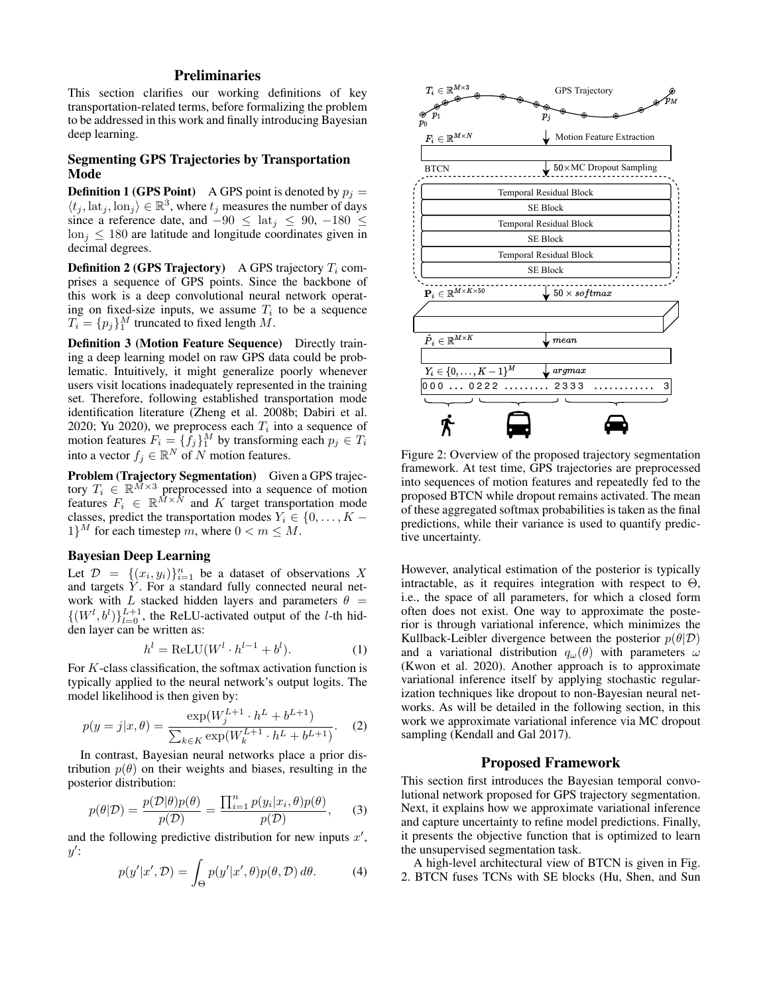## **Preliminaries**

This section clarifies our working definitions of key transportation-related terms, before formalizing the problem to be addressed in this work and finally introducing Bayesian deep learning.

## Segmenting GPS Trajectories by Transportation Mode

**Definition 1 (GPS Point)** A GPS point is denoted by  $p_i =$  $\langle t_j, \text{lat}_j, \text{lon}_j \rangle \in \mathbb{R}^3$ , where  $t_j$  measures the number of days since a reference date, and  $-90 \le \text{lat}_i \le 90, -180 \le$  $\ln i \leq 180$  are latitude and longitude coordinates given in decimal degrees.

**Definition 2 (GPS Trajectory)** A GPS trajectory  $T_i$  comprises a sequence of GPS points. Since the backbone of this work is a deep convolutional neural network operating on fixed-size inputs, we assume  $T_i$  to be a sequence  $T_i = \{p_j\}_1^M$  truncated to fixed length M.

Definition 3 (Motion Feature Sequence) Directly training a deep learning model on raw GPS data could be problematic. Intuitively, it might generalize poorly whenever users visit locations inadequately represented in the training set. Therefore, following established transportation mode identification literature (Zheng et al. 2008b; Dabiri et al. 2020; Yu 2020), we preprocess each  $T_i$  into a sequence of motion features  $F_i = \{\bar{f}_j\}_1^M$  by transforming each  $p_j \in T_i$ into a vector  $f_j \in \mathbb{R}^N$  of N motion features.

Problem (Trajectory Segmentation) Given a GPS trajectory  $T_i \in \mathbb{R}^{\tilde{M}\times 3}$  preprocessed into a sequence of motion features  $F_i \in \mathbb{R}^{M \times N}$  and K target transportation mode classes, predict the transportation modes  $Y_i \in \{0, \ldots, K - \}$  $1\}^M$  for each timestep m, where  $0 < m \leq M$ .

## Bayesian Deep Learning

Let  $\mathcal{D} = \{(x_i, y_i)\}_{i=1}^n$  be a dataset of observations X and targets  $Y$ . For a standard fully connected neural network with L stacked hidden layers and parameters  $\theta =$  $\{(W^l, b^l)\}_{l=0}^{L+1}$ , the ReLU-activated output of the *l*-th hidden layer can be written as:

$$
h^{l} = \text{ReLU}(W^{l} \cdot h^{l-1} + b^{l}).\tag{1}
$$

For  $K$ -class classification, the softmax activation function is typically applied to the neural network's output logits. The model likelihood is then given by:

$$
p(y=j|x,\theta) = \frac{\exp(W_j^{L+1} \cdot h^L + b^{L+1})}{\sum_{k \in K} \exp(W_k^{L+1} \cdot h^L + b^{L+1})}.
$$
 (2)

In contrast, Bayesian neural networks place a prior distribution  $p(\theta)$  on their weights and biases, resulting in the posterior distribution:

$$
p(\theta|\mathcal{D}) = \frac{p(\mathcal{D}|\theta)p(\theta)}{p(\mathcal{D})} = \frac{\prod_{i=1}^{n} p(y_i|x_i, \theta)p(\theta)}{p(\mathcal{D})}, \quad (3)
$$

and the following predictive distribution for new inputs  $x'$ ,  $y'$ :

$$
p(y'|x', \mathcal{D}) = \int_{\Theta} p(y'|x', \theta) p(\theta, \mathcal{D}) d\theta.
$$
 (4)



Figure 2: Overview of the proposed trajectory segmentation framework. At test time, GPS trajectories are preprocessed into sequences of motion features and repeatedly fed to the proposed BTCN while dropout remains activated. The mean of these aggregated softmax probabilities is taken as the final predictions, while their variance is used to quantify predictive uncertainty.

However, analytical estimation of the posterior is typically intractable, as it requires integration with respect to  $\Theta$ , i.e., the space of all parameters, for which a closed form often does not exist. One way to approximate the posterior is through variational inference, which minimizes the Kullback-Leibler divergence between the posterior  $p(\theta|\mathcal{D})$ and a variational distribution  $q_{\omega}(\theta)$  with parameters  $\omega$ (Kwon et al. 2020). Another approach is to approximate variational inference itself by applying stochastic regularization techniques like dropout to non-Bayesian neural networks. As will be detailed in the following section, in this work we approximate variational inference via MC dropout sampling (Kendall and Gal 2017).

### Proposed Framework

This section first introduces the Bayesian temporal convolutional network proposed for GPS trajectory segmentation. Next, it explains how we approximate variational inference and capture uncertainty to refine model predictions. Finally, it presents the objective function that is optimized to learn the unsupervised segmentation task.

A high-level architectural view of BTCN is given in Fig. 2. BTCN fuses TCNs with SE blocks (Hu, Shen, and Sun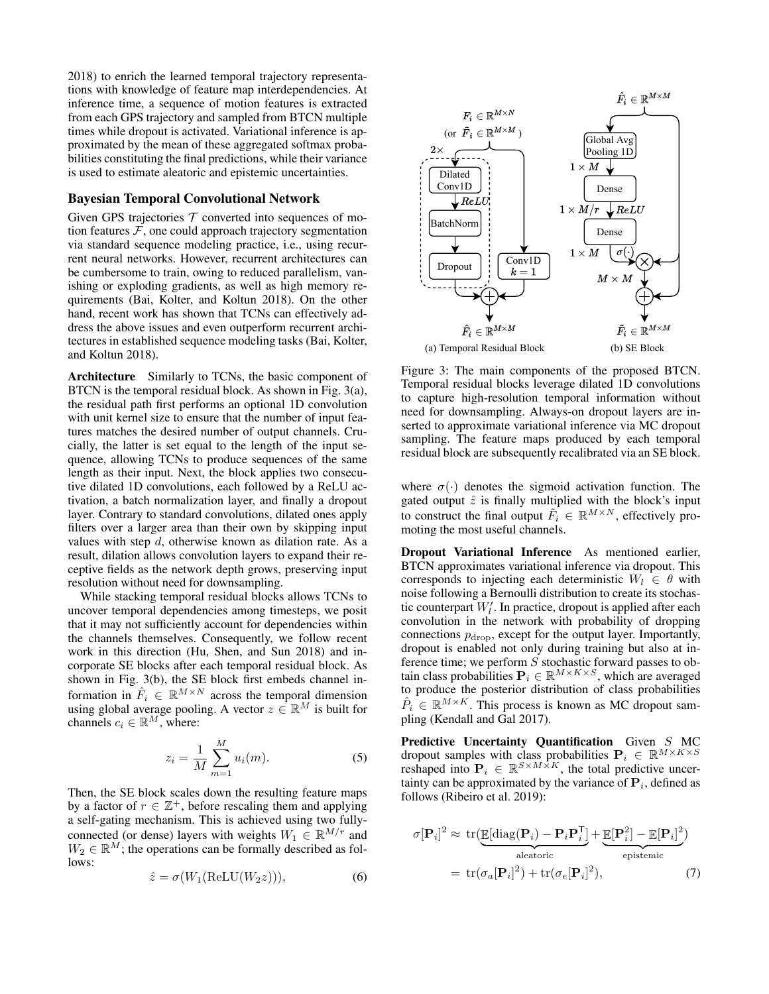2018) to enrich the learned temporal trajectory representations with knowledge of feature map interdependencies. At inference time, a sequence of motion features is extracted from each GPS trajectory and sampled from BTCN multiple times while dropout is activated. Variational inference is approximated by the mean of these aggregated softmax probabilities constituting the final predictions, while their variance is used to estimate aleatoric and epistemic uncertainties.

#### Bayesian Temporal Convolutional Network

Given GPS trajectories  $T$  converted into sequences of motion features  $F$ , one could approach trajectory segmentation via standard sequence modeling practice, i.e., using recurrent neural networks. However, recurrent architectures can be cumbersome to train, owing to reduced parallelism, vanishing or exploding gradients, as well as high memory requirements (Bai, Kolter, and Koltun 2018). On the other hand, recent work has shown that TCNs can effectively address the above issues and even outperform recurrent architectures in established sequence modeling tasks (Bai, Kolter, and Koltun 2018).

Architecture Similarly to TCNs, the basic component of BTCN is the temporal residual block. As shown in Fig. 3(a), the residual path first performs an optional 1D convolution with unit kernel size to ensure that the number of input features matches the desired number of output channels. Crucially, the latter is set equal to the length of the input sequence, allowing TCNs to produce sequences of the same length as their input. Next, the block applies two consecutive dilated 1D convolutions, each followed by a ReLU activation, a batch normalization layer, and finally a dropout layer. Contrary to standard convolutions, dilated ones apply filters over a larger area than their own by skipping input values with step  $d$ , otherwise known as dilation rate. As a result, dilation allows convolution layers to expand their receptive fields as the network depth grows, preserving input resolution without need for downsampling.

While stacking temporal residual blocks allows TCNs to uncover temporal dependencies among timesteps, we posit that it may not sufficiently account for dependencies within the channels themselves. Consequently, we follow recent work in this direction (Hu, Shen, and Sun 2018) and incorporate SE blocks after each temporal residual block. As shown in Fig. 3(b), the SE block first embeds channel information in  $\hat{F}_i \in \mathbb{R}^{M \times N}$  across the temporal dimension using global average pooling. A vector  $z \in \mathbb{R}^M$  is built for channels  $c_i \in \mathbb{R}^M$ , where:

$$
z_i = \frac{1}{M} \sum_{m=1}^{M} u_i(m).
$$
 (5)

Then, the SE block scales down the resulting feature maps by a factor of  $r \in \mathbb{Z}^+$ , before rescaling them and applying a self-gating mechanism. This is achieved using two fullyconnected (or dense) layers with weights  $W_1 \in \mathbb{R}^{M/r}$  and  $W_2 \in \mathbb{R}^M$ ; the operations can be formally described as follows:

$$
\hat{z} = \sigma(W_1(\text{ReLU}(W_2 z))),\tag{6}
$$



Figure 3: The main components of the proposed BTCN. Temporal residual blocks leverage dilated 1D convolutions to capture high-resolution temporal information without need for downsampling. Always-on dropout layers are inserted to approximate variational inference via MC dropout sampling. The feature maps produced by each temporal residual block are subsequently recalibrated via an SE block.

where  $\sigma(\cdot)$  denotes the sigmoid activation function. The gated output  $\hat{z}$  is finally multiplied with the block's input to construct the final output  $\tilde{F}_i \in \mathbb{R}^{M \times N}$ , effectively promoting the most useful channels.

Dropout Variational Inference As mentioned earlier, BTCN approximates variational inference via dropout. This corresponds to injecting each deterministic  $W_l \in \theta$  with noise following a Bernoulli distribution to create its stochastic counterpart  $W_l'$ . In practice, dropout is applied after each convolution in the network with probability of dropping connections  $p_{drop}$ , except for the output layer. Importantly, dropout is enabled not only during training but also at inference time; we perform S stochastic forward passes to obtain class probabilities  $P_i \in \mathbb{R}^{M \times K \times S}$ , which are averaged to produce the posterior distribution of class probabilities  $\hat{P}_i \in \mathbb{R}^{M \times K}$ . This process is known as MC dropout sampling (Kendall and Gal 2017).

Predictive Uncertainty Quantification Given S MC dropout samples with class probabilities  $P_i \in \mathbb{R}^{M \times K \times S}$ reshaped into  $P_i \in \mathbb{R}^{S \times M \times K}$ , the total predictive uncertainty can be approximated by the variance of  $P_i$ , defined as follows (Ribeiro et al. 2019):

$$
\sigma[\mathbf{P}_i]^2 \approx \text{tr}(\underbrace{\mathbb{E}[\text{diag}(\mathbf{P}_i) - \mathbf{P}_i \mathbf{P}_i^{\mathsf{T}}]}_{\text{aleatoric}} + \underbrace{\mathbb{E}[\mathbf{P}_i^2] - \mathbb{E}[\mathbf{P}_i]^2}_{\text{epistemic}})
$$

$$
= \text{tr}(\sigma_a[\mathbf{P}_i]^2) + \text{tr}(\sigma_e[\mathbf{P}_i]^2), \tag{7}
$$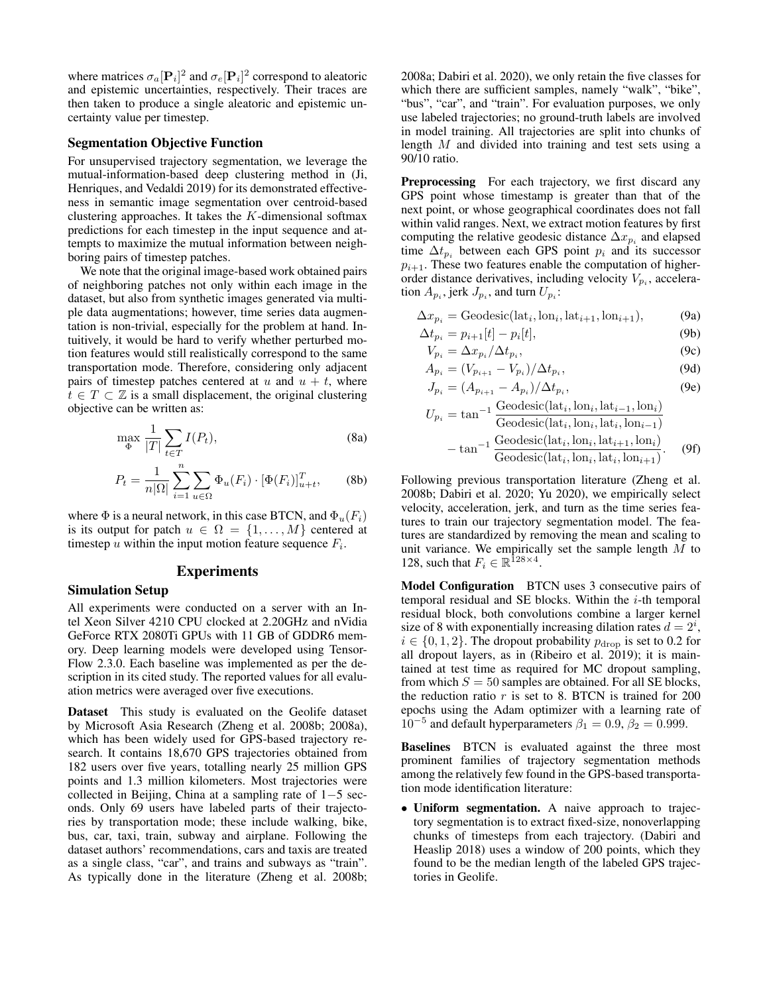where matrices  $\sigma_a [\mathbf{P}_i]^2$  and  $\sigma_e [\mathbf{P}_i]^2$  correspond to aleatoric and epistemic uncertainties, respectively. Their traces are then taken to produce a single aleatoric and epistemic uncertainty value per timestep.

#### Segmentation Objective Function

For unsupervised trajectory segmentation, we leverage the mutual-information-based deep clustering method in (Ji, Henriques, and Vedaldi 2019) for its demonstrated effectiveness in semantic image segmentation over centroid-based clustering approaches. It takes the  $K$ -dimensional softmax predictions for each timestep in the input sequence and attempts to maximize the mutual information between neighboring pairs of timestep patches.

We note that the original image-based work obtained pairs of neighboring patches not only within each image in the dataset, but also from synthetic images generated via multiple data augmentations; however, time series data augmentation is non-trivial, especially for the problem at hand. Intuitively, it would be hard to verify whether perturbed motion features would still realistically correspond to the same transportation mode. Therefore, considering only adjacent pairs of timestep patches centered at u and  $u + t$ , where  $t \in T \subset \mathbb{Z}$  is a small displacement, the original clustering objective can be written as:

$$
\max_{\Phi} \frac{1}{|T|} \sum_{t \in T} I(P_t),\tag{8a}
$$

$$
P_t = \frac{1}{n|\Omega|} \sum_{i=1}^n \sum_{u \in \Omega} \Phi_u(F_i) \cdot [\Phi(F_i)]_{u+t}^T, \qquad (8b)
$$

where  $\Phi$  is a neural network, in this case BTCN, and  $\Phi_u(F_i)$ is its output for patch  $u \in \Omega = \{1, \ldots, M\}$  centered at timestep  $u$  within the input motion feature sequence  $F_i$ .

#### Experiments

#### Simulation Setup

All experiments were conducted on a server with an Intel Xeon Silver 4210 CPU clocked at 2.20GHz and nVidia GeForce RTX 2080Ti GPUs with 11 GB of GDDR6 memory. Deep learning models were developed using Tensor-Flow 2.3.0. Each baseline was implemented as per the description in its cited study. The reported values for all evaluation metrics were averaged over five executions.

Dataset This study is evaluated on the Geolife dataset by Microsoft Asia Research (Zheng et al. 2008b; 2008a), which has been widely used for GPS-based trajectory research. It contains 18,670 GPS trajectories obtained from 182 users over five years, totalling nearly 25 million GPS points and 1.3 million kilometers. Most trajectories were collected in Beijing, China at a sampling rate of 1−5 seconds. Only 69 users have labeled parts of their trajectories by transportation mode; these include walking, bike, bus, car, taxi, train, subway and airplane. Following the dataset authors' recommendations, cars and taxis are treated as a single class, "car", and trains and subways as "train". As typically done in the literature (Zheng et al. 2008b;

2008a; Dabiri et al. 2020), we only retain the five classes for which there are sufficient samples, namely "walk", "bike", "bus", "car", and "train". For evaluation purposes, we only use labeled trajectories; no ground-truth labels are involved in model training. All trajectories are split into chunks of length M and divided into training and test sets using a 90/10 ratio.

Preprocessing For each trajectory, we first discard any GPS point whose timestamp is greater than that of the next point, or whose geographical coordinates does not fall within valid ranges. Next, we extract motion features by first computing the relative geodesic distance  $\Delta x_{p_i}$  and elapsed time  $\Delta t_{p_i}$  between each GPS point  $p_i$  and its successor  $p_{i+1}$ . These two features enable the computation of higherorder distance derivatives, including velocity  $V_{p_i}$ , acceleration  $A_{p_i}$ , jerk  $J_{p_i}$ , and turn  $U_{p_i}$ :

$$
\Delta x_{p_i} = \text{Geodesic}(\text{lat}_i, \text{lon}_i, \text{lat}_{i+1}, \text{lon}_{i+1}),\tag{9a}
$$

$$
\Delta t_{p_i} = p_{i+1}[t] - p_i[t],
$$
\n
$$
V_n = \Delta x_n / \Delta t_n.
$$
\n(96)

$$
V_{p_i} = \Delta x_{p_i} / \Delta t_{p_i},
$$
\n(9c)  
\n
$$
A_{p_i} = (V_{p_{i+1}} - V_{p_i}) / \Delta t_{p_i},
$$
\n(9d)

$$
A_{p_i} = (V_{p_{i+1}} - V_{p_i})/\Delta t_{p_i},
$$
\n(9d)  
\n
$$
J_{p_i} = (A_{p_{i+1}} - A_{p_i})/\Delta t_{p_i},
$$
\n(9e)

$$
U_{pi} = \tan^{-1} \frac{\text{Geodesic}(\text{lat}_i, \text{lon}_i, \text{lat}_{i-1}, \text{lon}_i)}{\text{Geodesic}(\text{lat}_i, \text{lon}_i, \text{lat}_i, \text{lon}_{i-1})}
$$

$$
-\tan^{-1} \frac{\text{Geodesic}(\text{lat}_i, \text{lon}_i, \text{lat}_{i+1}, \text{lon}_i)}{\text{Geodesic}(\text{lat}_i, \text{lon}_i, \text{lat}_i, \text{lon}_{i+1})}.
$$
(9f)

Following previous transportation literature (Zheng et al. 2008b; Dabiri et al. 2020; Yu 2020), we empirically select velocity, acceleration, jerk, and turn as the time series features to train our trajectory segmentation model. The features are standardized by removing the mean and scaling to unit variance. We empirically set the sample length  $M$  to 128, such that  $F_i \in \mathbb{R}^{128 \times 4}$ .

Model Configuration BTCN uses 3 consecutive pairs of temporal residual and SE blocks. Within the  $i$ -th temporal residual block, both convolutions combine a larger kernel size of 8 with exponentially increasing dilation rates  $d = 2^i$ ,  $i \in \{0, 1, 2\}$ . The dropout probability  $p_{\text{drop}}$  is set to 0.2 for all dropout layers, as in (Ribeiro et al. 2019); it is maintained at test time as required for MC dropout sampling, from which  $S = 50$  samples are obtained. For all SE blocks, the reduction ratio  $r$  is set to 8. BTCN is trained for 200 epochs using the Adam optimizer with a learning rate of  $10^{-5}$  and default hyperparameters  $β<sub>1</sub> = 0.9, β<sub>2</sub> = 0.999$ .

Baselines BTCN is evaluated against the three most prominent families of trajectory segmentation methods among the relatively few found in the GPS-based transportation mode identification literature:

• Uniform segmentation. A naive approach to trajectory segmentation is to extract fixed-size, nonoverlapping chunks of timesteps from each trajectory. (Dabiri and Heaslip 2018) uses a window of 200 points, which they found to be the median length of the labeled GPS trajectories in Geolife.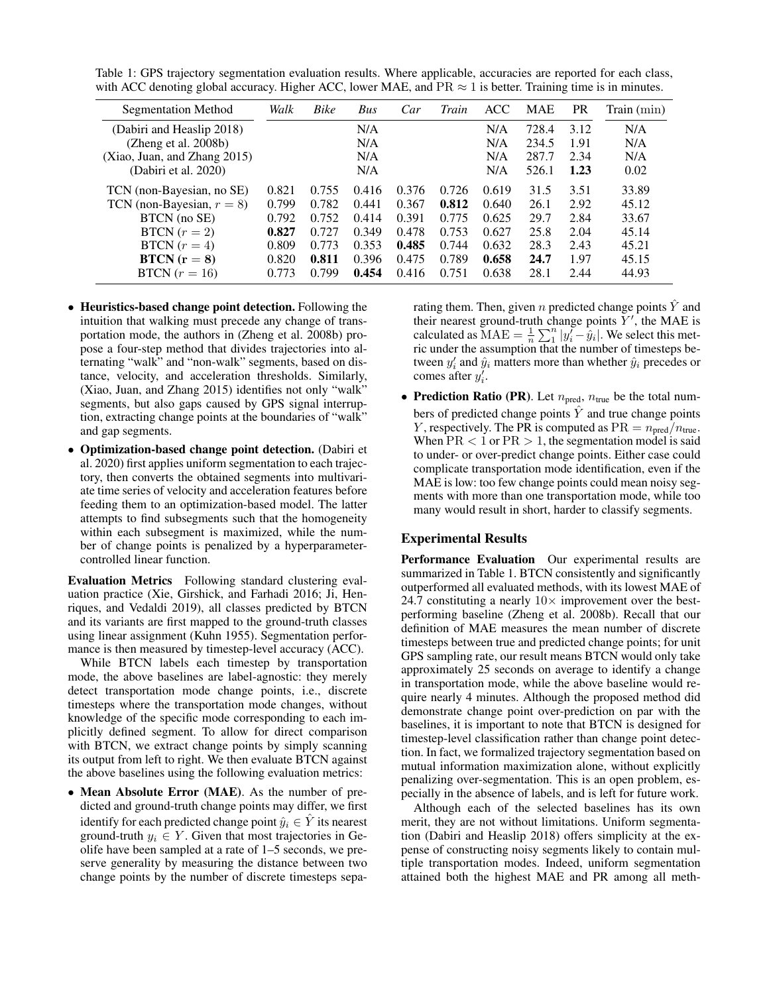Table 1: GPS trajectory segmentation evaluation results. Where applicable, accuracies are reported for each class, with ACC denoting global accuracy. Higher ACC, lower MAE, and  $PR \approx 1$  is better. Training time is in minutes.

| <b>Segmentation Method</b>   | Walk  | <b>Bike</b> | Bus   | Car   | Train | ACC   | MAE   | <b>PR</b> | Train (min) |
|------------------------------|-------|-------------|-------|-------|-------|-------|-------|-----------|-------------|
| (Dabiri and Heaslip 2018)    |       |             | N/A   |       |       | N/A   | 728.4 | 3.12      | N/A         |
| (Zheng et al. 2008b)         |       |             | N/A   |       |       | N/A   | 234.5 | 1.91      | N/A         |
| (Xiao, Juan, and Zhang 2015) |       |             | N/A   |       |       | N/A   | 287.7 | 2.34      | N/A         |
| (Dabiri et al. 2020)         |       |             | N/A   |       |       | N/A   | 526.1 | 1.23      | 0.02        |
| TCN (non-Bayesian, no SE)    | 0.821 | 0.755       | 0.416 | 0.376 | 0.726 | 0.619 | 31.5  | 3.51      | 33.89       |
| TCN (non-Bayesian, $r = 8$ ) | 0.799 | 0.782       | 0.441 | 0.367 | 0.812 | 0.640 | 26.1  | 2.92      | 45.12       |
| BTCN (no SE)                 | 0.792 | 0.752       | 0.414 | 0.391 | 0.775 | 0.625 | 29.7  | 2.84      | 33.67       |
| $BTCN (r = 2)$               | 0.827 | 0.727       | 0.349 | 0.478 | 0.753 | 0.627 | 25.8  | 2.04      | 45.14       |
| BTCN $(r = 4)$               | 0.809 | 0.773       | 0.353 | 0.485 | 0.744 | 0.632 | 28.3  | 2.43      | 45.21       |
| $BTCN (r = 8)$               | 0.820 | 0.811       | 0.396 | 0.475 | 0.789 | 0.658 | 24.7  | 1.97      | 45.15       |
| BTCN $(r = 16)$              | 0.773 | 0.799       | 0.454 | 0.416 | 0.751 | 0.638 | 28.1  | 2.44      | 44.93       |

- Heuristics-based change point detection. Following the intuition that walking must precede any change of transportation mode, the authors in (Zheng et al. 2008b) propose a four-step method that divides trajectories into alternating "walk" and "non-walk" segments, based on distance, velocity, and acceleration thresholds. Similarly, (Xiao, Juan, and Zhang 2015) identifies not only "walk" segments, but also gaps caused by GPS signal interruption, extracting change points at the boundaries of "walk" and gap segments.
- Optimization-based change point detection. (Dabiri et al. 2020) first applies uniform segmentation to each trajectory, then converts the obtained segments into multivariate time series of velocity and acceleration features before feeding them to an optimization-based model. The latter attempts to find subsegments such that the homogeneity within each subsegment is maximized, while the number of change points is penalized by a hyperparametercontrolled linear function.

Evaluation Metrics Following standard clustering evaluation practice (Xie, Girshick, and Farhadi 2016; Ji, Henriques, and Vedaldi 2019), all classes predicted by BTCN and its variants are first mapped to the ground-truth classes using linear assignment (Kuhn 1955). Segmentation performance is then measured by timestep-level accuracy (ACC).

While BTCN labels each timestep by transportation mode, the above baselines are label-agnostic: they merely detect transportation mode change points, i.e., discrete timesteps where the transportation mode changes, without knowledge of the specific mode corresponding to each implicitly defined segment. To allow for direct comparison with BTCN, we extract change points by simply scanning its output from left to right. We then evaluate BTCN against the above baselines using the following evaluation metrics:

• Mean Absolute Error (MAE). As the number of predicted and ground-truth change points may differ, we first identify for each predicted change point  $\hat{y}_i \in \hat{Y}$  its nearest ground-truth  $y_i \in Y$ . Given that most trajectories in Geolife have been sampled at a rate of 1–5 seconds, we preserve generality by measuring the distance between two change points by the number of discrete timesteps separating them. Then, given *n* predicted change points  $\hat{Y}$  and their nearest ground-truth change points  $Y'$ , the MAE is calculated as  $\text{MAE} = \frac{1}{n} \sum_{i=1}^{n} |y_i' - \hat{y}_i|$ . We select this metric under the assumption that the number of timesteps between  $y_i'$  and  $\hat{y}_i$  matters more than whether  $\hat{y}_i$  precedes or comes after  $y_i'$ .

• Prediction Ratio (PR). Let  $n_{pred}$ ,  $n_{true}$  be the total numbers of predicted change points  $\hat{Y}$  and true change points Y, respectively. The PR is computed as  $PR = n_{pred}/n_{true}$ . When  $PR < 1$  or  $PR > 1$ , the segmentation model is said to under- or over-predict change points. Either case could complicate transportation mode identification, even if the MAE is low: too few change points could mean noisy segments with more than one transportation mode, while too many would result in short, harder to classify segments.

## Experimental Results

Performance Evaluation Our experimental results are summarized in Table 1. BTCN consistently and significantly outperformed all evaluated methods, with its lowest MAE of 24.7 constituting a nearly  $10\times$  improvement over the bestperforming baseline (Zheng et al. 2008b). Recall that our definition of MAE measures the mean number of discrete timesteps between true and predicted change points; for unit GPS sampling rate, our result means BTCN would only take approximately 25 seconds on average to identify a change in transportation mode, while the above baseline would require nearly 4 minutes. Although the proposed method did demonstrate change point over-prediction on par with the baselines, it is important to note that BTCN is designed for timestep-level classification rather than change point detection. In fact, we formalized trajectory segmentation based on mutual information maximization alone, without explicitly penalizing over-segmentation. This is an open problem, especially in the absence of labels, and is left for future work.

Although each of the selected baselines has its own merit, they are not without limitations. Uniform segmentation (Dabiri and Heaslip 2018) offers simplicity at the expense of constructing noisy segments likely to contain multiple transportation modes. Indeed, uniform segmentation attained both the highest MAE and PR among all meth-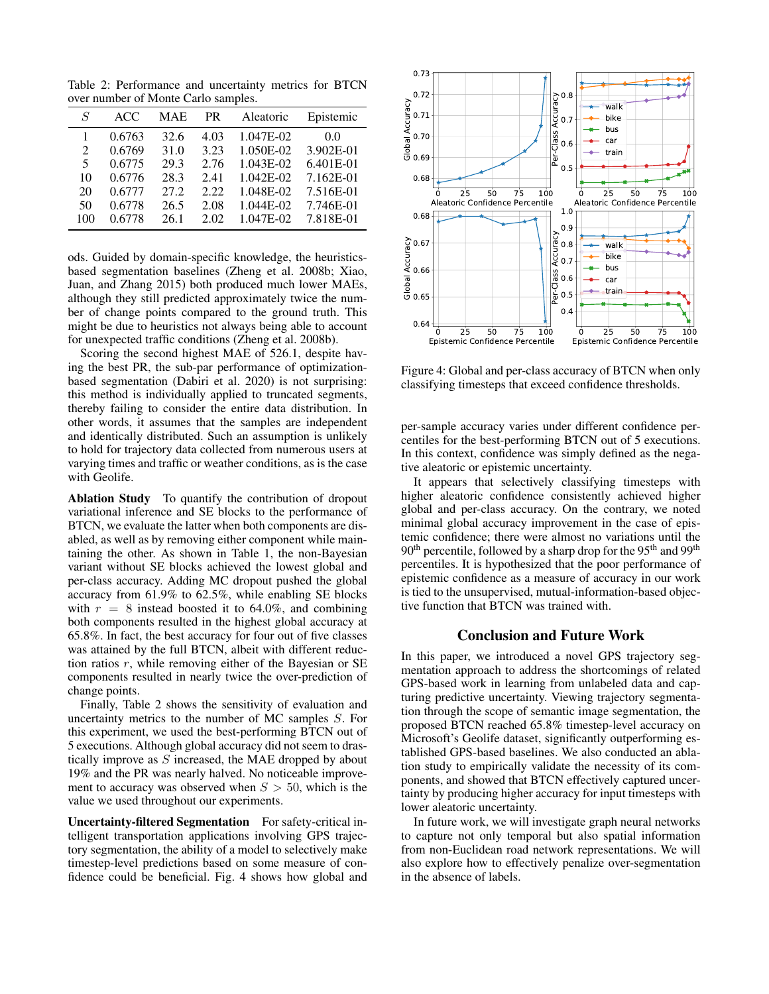Table 2: Performance and uncertainty metrics for BTCN over number of Monte Carlo samples.

| S   | ACC.   | <b>MAE</b> | <b>PR</b> | Aleatoric | Epistemic |
|-----|--------|------------|-----------|-----------|-----------|
|     | 0.6763 | 32.6       | 4.03      | 1.047E-02 | 0.0       |
| 2   | 0.6769 | 31.0       | 3.23      | 1.050E-02 | 3.902E-01 |
| 5   | 0.6775 | 29.3       | 2.76      | 1.043E-02 | 6.401E-01 |
| 10  | 0.6776 | 28.3       | 2.41      | 1.042E-02 | 7.162E-01 |
| 20  | 0.6777 | 27.2       | 2.22      | 1.048E-02 | 7.516E-01 |
| 50  | 0.6778 | 26.5       | 2.08      | 1.044E-02 | 7.746E-01 |
| 100 | 0.6778 | 26.1       | 2.02      | 1.047E-02 | 7.818E-01 |

ods. Guided by domain-specific knowledge, the heuristicsbased segmentation baselines (Zheng et al. 2008b; Xiao, Juan, and Zhang 2015) both produced much lower MAEs, although they still predicted approximately twice the number of change points compared to the ground truth. This might be due to heuristics not always being able to account for unexpected traffic conditions (Zheng et al. 2008b).

Scoring the second highest MAE of 526.1, despite having the best PR, the sub-par performance of optimizationbased segmentation (Dabiri et al. 2020) is not surprising: this method is individually applied to truncated segments, thereby failing to consider the entire data distribution. In other words, it assumes that the samples are independent and identically distributed. Such an assumption is unlikely to hold for trajectory data collected from numerous users at varying times and traffic or weather conditions, as is the case with Geolife.

Ablation Study To quantify the contribution of dropout variational inference and SE blocks to the performance of BTCN, we evaluate the latter when both components are disabled, as well as by removing either component while maintaining the other. As shown in Table 1, the non-Bayesian variant without SE blocks achieved the lowest global and per-class accuracy. Adding MC dropout pushed the global accuracy from 61.9% to 62.5%, while enabling SE blocks with  $r = 8$  instead boosted it to 64.0%, and combining both components resulted in the highest global accuracy at 65.8%. In fact, the best accuracy for four out of five classes was attained by the full BTCN, albeit with different reduction ratios  $r$ , while removing either of the Bayesian or SE components resulted in nearly twice the over-prediction of change points.

Finally, Table 2 shows the sensitivity of evaluation and uncertainty metrics to the number of MC samples S. For this experiment, we used the best-performing BTCN out of 5 executions. Although global accuracy did not seem to drastically improve as  $S$  increased, the MAE dropped by about 19% and the PR was nearly halved. No noticeable improvement to accuracy was observed when  $S > 50$ , which is the value we used throughout our experiments.

Uncertainty-filtered Segmentation For safety-critical intelligent transportation applications involving GPS trajectory segmentation, the ability of a model to selectively make timestep-level predictions based on some measure of confidence could be beneficial. Fig. 4 shows how global and



Figure 4: Global and per-class accuracy of BTCN when only classifying timesteps that exceed confidence thresholds.

per-sample accuracy varies under different confidence percentiles for the best-performing BTCN out of 5 executions. In this context, confidence was simply defined as the negative aleatoric or epistemic uncertainty.

It appears that selectively classifying timesteps with higher aleatoric confidence consistently achieved higher global and per-class accuracy. On the contrary, we noted minimal global accuracy improvement in the case of epistemic confidence; there were almost no variations until the  $90<sup>th</sup>$  percentile, followed by a sharp drop for the 95<sup>th</sup> and 99<sup>th</sup> percentiles. It is hypothesized that the poor performance of epistemic confidence as a measure of accuracy in our work is tied to the unsupervised, mutual-information-based objective function that BTCN was trained with.

#### Conclusion and Future Work

In this paper, we introduced a novel GPS trajectory segmentation approach to address the shortcomings of related GPS-based work in learning from unlabeled data and capturing predictive uncertainty. Viewing trajectory segmentation through the scope of semantic image segmentation, the proposed BTCN reached 65.8% timestep-level accuracy on Microsoft's Geolife dataset, significantly outperforming established GPS-based baselines. We also conducted an ablation study to empirically validate the necessity of its components, and showed that BTCN effectively captured uncertainty by producing higher accuracy for input timesteps with lower aleatoric uncertainty.

In future work, we will investigate graph neural networks to capture not only temporal but also spatial information from non-Euclidean road network representations. We will also explore how to effectively penalize over-segmentation in the absence of labels.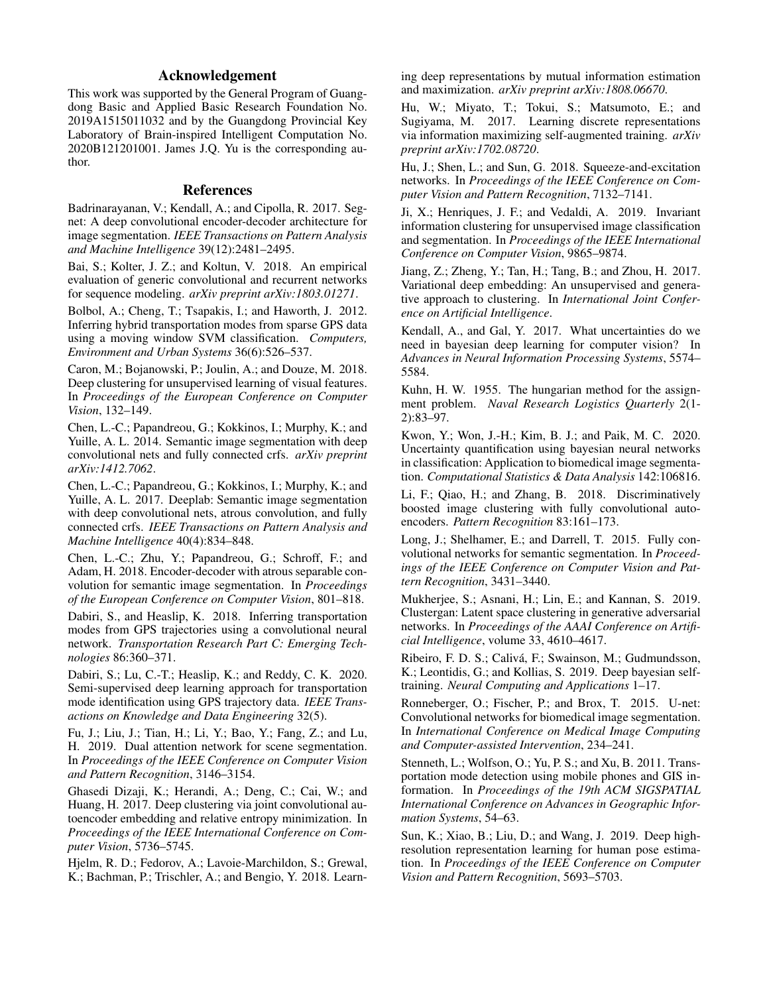## Acknowledgement

This work was supported by the General Program of Guangdong Basic and Applied Basic Research Foundation No. 2019A1515011032 and by the Guangdong Provincial Key Laboratory of Brain-inspired Intelligent Computation No. 2020B121201001. James J.Q. Yu is the corresponding author.

#### References

Badrinarayanan, V.; Kendall, A.; and Cipolla, R. 2017. Segnet: A deep convolutional encoder-decoder architecture for image segmentation. *IEEE Transactions on Pattern Analysis and Machine Intelligence* 39(12):2481–2495.

Bai, S.; Kolter, J. Z.; and Koltun, V. 2018. An empirical evaluation of generic convolutional and recurrent networks for sequence modeling. *arXiv preprint arXiv:1803.01271*.

Bolbol, A.; Cheng, T.; Tsapakis, I.; and Haworth, J. 2012. Inferring hybrid transportation modes from sparse GPS data using a moving window SVM classification. *Computers, Environment and Urban Systems* 36(6):526–537.

Caron, M.; Bojanowski, P.; Joulin, A.; and Douze, M. 2018. Deep clustering for unsupervised learning of visual features. In *Proceedings of the European Conference on Computer Vision*, 132–149.

Chen, L.-C.; Papandreou, G.; Kokkinos, I.; Murphy, K.; and Yuille, A. L. 2014. Semantic image segmentation with deep convolutional nets and fully connected crfs. *arXiv preprint arXiv:1412.7062*.

Chen, L.-C.; Papandreou, G.; Kokkinos, I.; Murphy, K.; and Yuille, A. L. 2017. Deeplab: Semantic image segmentation with deep convolutional nets, atrous convolution, and fully connected crfs. *IEEE Transactions on Pattern Analysis and Machine Intelligence* 40(4):834–848.

Chen, L.-C.; Zhu, Y.; Papandreou, G.; Schroff, F.; and Adam, H. 2018. Encoder-decoder with atrous separable convolution for semantic image segmentation. In *Proceedings of the European Conference on Computer Vision*, 801–818.

Dabiri, S., and Heaslip, K. 2018. Inferring transportation modes from GPS trajectories using a convolutional neural network. *Transportation Research Part C: Emerging Technologies* 86:360–371.

Dabiri, S.; Lu, C.-T.; Heaslip, K.; and Reddy, C. K. 2020. Semi-supervised deep learning approach for transportation mode identification using GPS trajectory data. *IEEE Transactions on Knowledge and Data Engineering* 32(5).

Fu, J.; Liu, J.; Tian, H.; Li, Y.; Bao, Y.; Fang, Z.; and Lu, H. 2019. Dual attention network for scene segmentation. In *Proceedings of the IEEE Conference on Computer Vision and Pattern Recognition*, 3146–3154.

Ghasedi Dizaji, K.; Herandi, A.; Deng, C.; Cai, W.; and Huang, H. 2017. Deep clustering via joint convolutional autoencoder embedding and relative entropy minimization. In *Proceedings of the IEEE International Conference on Computer Vision*, 5736–5745.

Hjelm, R. D.; Fedorov, A.; Lavoie-Marchildon, S.; Grewal, K.; Bachman, P.; Trischler, A.; and Bengio, Y. 2018. Learning deep representations by mutual information estimation and maximization. *arXiv preprint arXiv:1808.06670*.

Hu, W.; Miyato, T.; Tokui, S.; Matsumoto, E.; and Sugiyama, M. 2017. Learning discrete representations via information maximizing self-augmented training. *arXiv preprint arXiv:1702.08720*.

Hu, J.; Shen, L.; and Sun, G. 2018. Squeeze-and-excitation networks. In *Proceedings of the IEEE Conference on Computer Vision and Pattern Recognition*, 7132–7141.

Ji, X.; Henriques, J. F.; and Vedaldi, A. 2019. Invariant information clustering for unsupervised image classification and segmentation. In *Proceedings of the IEEE International Conference on Computer Vision*, 9865–9874.

Jiang, Z.; Zheng, Y.; Tan, H.; Tang, B.; and Zhou, H. 2017. Variational deep embedding: An unsupervised and generative approach to clustering. In *International Joint Conference on Artificial Intelligence*.

Kendall, A., and Gal, Y. 2017. What uncertainties do we need in bayesian deep learning for computer vision? In *Advances in Neural Information Processing Systems*, 5574– 5584.

Kuhn, H. W. 1955. The hungarian method for the assignment problem. *Naval Research Logistics Quarterly* 2(1- 2):83–97.

Kwon, Y.; Won, J.-H.; Kim, B. J.; and Paik, M. C. 2020. Uncertainty quantification using bayesian neural networks in classification: Application to biomedical image segmentation. *Computational Statistics & Data Analysis* 142:106816.

Li, F.; Qiao, H.; and Zhang, B. 2018. Discriminatively boosted image clustering with fully convolutional autoencoders. *Pattern Recognition* 83:161–173.

Long, J.; Shelhamer, E.; and Darrell, T. 2015. Fully convolutional networks for semantic segmentation. In *Proceedings of the IEEE Conference on Computer Vision and Pattern Recognition*, 3431–3440.

Mukherjee, S.; Asnani, H.; Lin, E.; and Kannan, S. 2019. Clustergan: Latent space clustering in generative adversarial networks. In *Proceedings of the AAAI Conference on Artificial Intelligence*, volume 33, 4610–4617.

Ribeiro, F. D. S.; Caliva, F.; Swainson, M.; Gudmundsson, ´ K.; Leontidis, G.; and Kollias, S. 2019. Deep bayesian selftraining. *Neural Computing and Applications* 1–17.

Ronneberger, O.; Fischer, P.; and Brox, T. 2015. U-net: Convolutional networks for biomedical image segmentation. In *International Conference on Medical Image Computing and Computer-assisted Intervention*, 234–241.

Stenneth, L.; Wolfson, O.; Yu, P. S.; and Xu, B. 2011. Transportation mode detection using mobile phones and GIS information. In *Proceedings of the 19th ACM SIGSPATIAL International Conference on Advances in Geographic Information Systems*, 54–63.

Sun, K.; Xiao, B.; Liu, D.; and Wang, J. 2019. Deep highresolution representation learning for human pose estimation. In *Proceedings of the IEEE Conference on Computer Vision and Pattern Recognition*, 5693–5703.